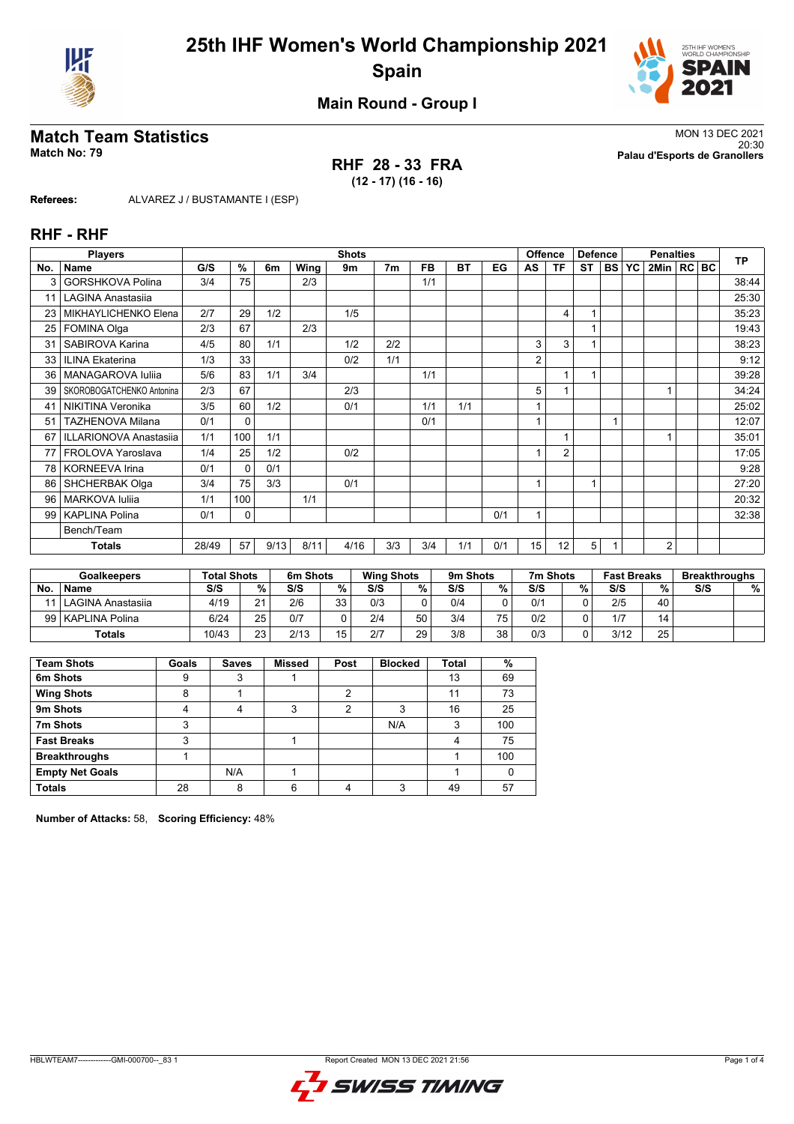



**Main Round - Group I**

### **RHF 28 - 33 FRA (12 - 17) (16 - 16)**

**Match Team Statistics** MON 13 DEC 2021 20:30 **Match No: 79 Palau d'Esports de Granollers**

**Referees:** ALVAREZ J / BUSTAMANTE I (ESP)

#### **RHF - RHF**

|     | <b>Players</b>                |       | <b>Shots</b> |      |      |      |                |           |           | Offence<br><b>Defence</b> |                |                |           | <b>Penalties</b> |    |                |  | <b>TP</b> |       |
|-----|-------------------------------|-------|--------------|------|------|------|----------------|-----------|-----------|---------------------------|----------------|----------------|-----------|------------------|----|----------------|--|-----------|-------|
| No. | <b>Name</b>                   | G/S   | %            | 6m   | Wing | 9m   | 7 <sub>m</sub> | <b>FB</b> | <b>BT</b> | EG                        | AS             | <b>TF</b>      | <b>ST</b> | <b>BS</b>        | YC | 2Min   RC BC   |  |           |       |
| 3   | <b>GORSHKOVA Polina</b>       | 3/4   | 75           |      | 2/3  |      |                | 1/1       |           |                           |                |                |           |                  |    |                |  |           | 38:44 |
| 11  | <b>LAGINA Anastasija</b>      |       |              |      |      |      |                |           |           |                           |                |                |           |                  |    |                |  |           | 25:30 |
| 23  | MIKHAYLICHENKO Elena          | 2/7   | 29           | 1/2  |      | 1/5  |                |           |           |                           |                | 4              | 1         |                  |    |                |  |           | 35:23 |
| 25  | FOMINA Olga                   | 2/3   | 67           |      | 2/3  |      |                |           |           |                           |                |                | 1         |                  |    |                |  |           | 19:43 |
| 31  | SABIROVA Karina               | 4/5   | 80           | 1/1  |      | 1/2  | 2/2            |           |           |                           | 3              | 3              |           |                  |    |                |  |           | 38:23 |
| 33  | <b>ILINA Ekaterina</b>        | 1/3   | 33           |      |      | 0/2  | 1/1            |           |           |                           | $\overline{2}$ |                |           |                  |    |                |  |           | 9:12  |
| 36  | MANAGAROVA Iuliia             | 5/6   | 83           | 1/1  | 3/4  |      |                | 1/1       |           |                           |                |                | 1         |                  |    |                |  |           | 39:28 |
| 39  | SKOROBOGATCHENKO Antonina     | 2/3   | 67           |      |      | 2/3  |                |           |           |                           | 5              |                |           |                  |    |                |  |           | 34:24 |
| 41  | NIKITINA Veronika             | 3/5   | 60           | 1/2  |      | 0/1  |                | 1/1       | 1/1       |                           |                |                |           |                  |    |                |  |           | 25:02 |
| 51  | <b>TAZHENOVA Milana</b>       | 0/1   | $\Omega$     |      |      |      |                | 0/1       |           |                           |                |                |           |                  |    |                |  |           | 12:07 |
| 67  | <b>ILLARIONOVA Anastasiia</b> | 1/1   | 100          | 1/1  |      |      |                |           |           |                           |                |                |           |                  |    |                |  |           | 35:01 |
| 77  | FROLOVA Yaroslava             | 1/4   | 25           | 1/2  |      | 0/2  |                |           |           |                           |                | $\overline{2}$ |           |                  |    |                |  |           | 17:05 |
| 78  | <b>KORNEEVA Irina</b>         | 0/1   | 0            | 0/1  |      |      |                |           |           |                           |                |                |           |                  |    |                |  |           | 9:28  |
| 86  | <b>SHCHERBAK Olga</b>         | 3/4   | 75           | 3/3  |      | 0/1  |                |           |           |                           |                |                | 1         |                  |    |                |  |           | 27:20 |
| 96  | <b>MARKOVA Iuliia</b>         | 1/1   | 100          |      | 1/1  |      |                |           |           |                           |                |                |           |                  |    |                |  |           | 20:32 |
| 99  | <b>KAPLINA Polina</b>         | 0/1   | 0            |      |      |      |                |           |           | 0/1                       |                |                |           |                  |    |                |  |           | 32:38 |
|     | Bench/Team                    |       |              |      |      |      |                |           |           |                           |                |                |           |                  |    |                |  |           |       |
|     | <b>Totals</b>                 | 28/49 | 57           | 9/13 | 8/11 | 4/16 | 3/3            | 3/4       | 1/1       | 0/1                       | 15             | 12             | 5         |                  |    | $\overline{2}$ |  |           |       |

| <b>Goalkeepers</b> |                        | <b>Total Shots</b> |    | 6m Shots |     | <b>Wing Shots</b> |    | 9m Shots |    | 7m Shots |    | <b>Fast Breaks</b> |    | <b>Breakthroughs</b> |   |
|--------------------|------------------------|--------------------|----|----------|-----|-------------------|----|----------|----|----------|----|--------------------|----|----------------------|---|
| <b>No</b>          | <b>Name</b>            | S/S                | %  | S/S      | %   | S/S               | %  | S/S      | %  | S/S      | %. | S/S                | %  | S/S                  | % |
|                    | 11   LAGINA Anastasija | 4/19               | 21 | 2/6      | 33. | 0/3               |    | 0/4      |    | 0/1      |    | 2/5                | 40 |                      |   |
|                    | 99   KAPLINA Polina    | 6/24               | 25 | 0/7      |     | 2/4               | 50 | 3/4      | 75 | 0/2      |    | 1/7                | 14 |                      |   |
|                    | Totals                 | 10/43              | 23 | 2/13     | 15  | 2/7               | 29 | 3/8      | 38 | 0/3      |    | 3/12               | 25 |                      |   |

| <b>Team Shots</b>      | Goals | <b>Saves</b> | <b>Missed</b> | Post | <b>Blocked</b> | Total | %   |
|------------------------|-------|--------------|---------------|------|----------------|-------|-----|
| 6m Shots               | 9     | っ<br>د       |               |      |                | 13    | 69  |
| <b>Wing Shots</b>      | 8     |              |               | ◠    |                | 11    | 73  |
| 9m Shots               |       | 4            | 3             | ◠    | 3              | 16    | 25  |
| 7m Shots               | 3     |              |               |      | N/A            | 3     | 100 |
| <b>Fast Breaks</b>     | 3     |              |               |      |                |       | 75  |
| <b>Breakthroughs</b>   |       |              |               |      |                |       | 100 |
| <b>Empty Net Goals</b> |       | N/A          |               |      |                |       |     |
| <b>Totals</b>          | 28    | 8            | հ             |      | ົ              | 49    | 57  |

**Number of Attacks:** 58, **Scoring Efficiency:** 48%

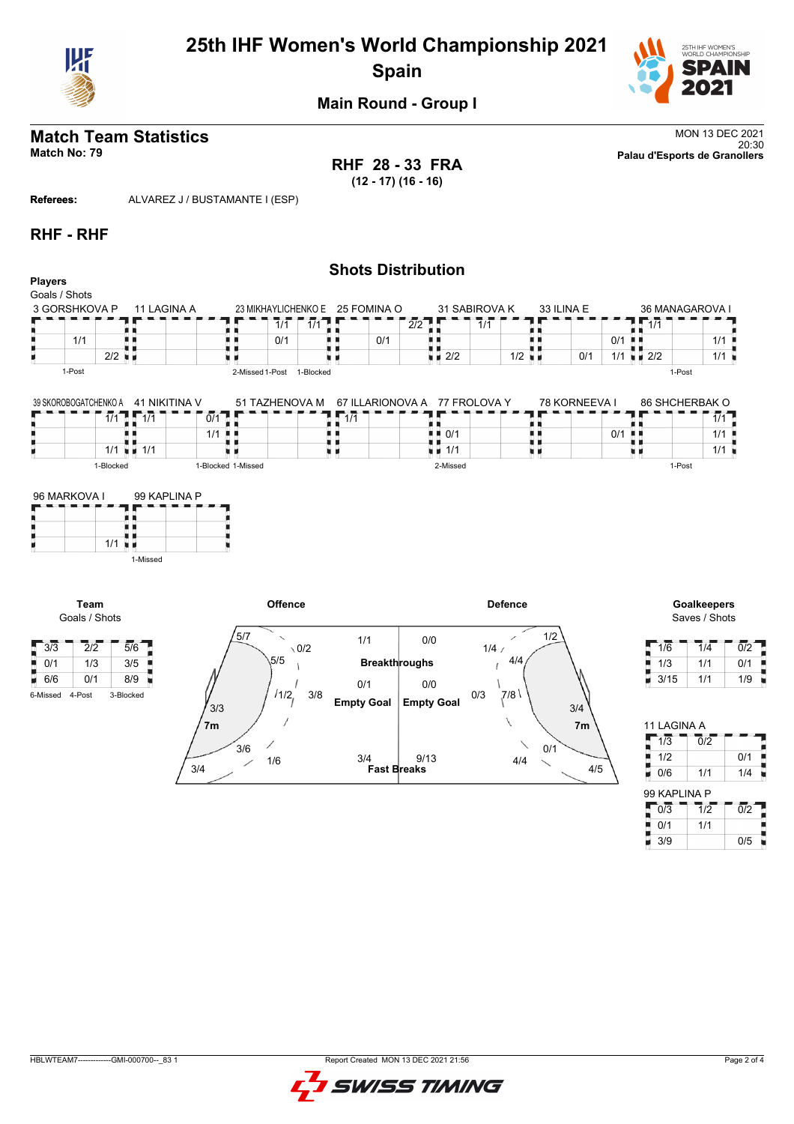

# **25th IHF Women's World Championship 2021 Spain**



**Main Round - Group I**

# **Match Team Statistics** MON 13 DEC 2021

**RHF 28 - 33 FRA (12 - 17) (16 - 16)**

20:30 **Match No: 79 Palau d'Esports de Granollers**

**Referees:** ALVAREZ J / BUSTAMANTE I (ESP)

#### **RHF - RHF**

|                                |                                                      |                        |                                        |                                |                                            |                         |                      | <b>Shots Distribution</b>                                                 |               |                      |               |          |                               |                                            |             |
|--------------------------------|------------------------------------------------------|------------------------|----------------------------------------|--------------------------------|--------------------------------------------|-------------------------|----------------------|---------------------------------------------------------------------------|---------------|----------------------|---------------|----------|-------------------------------|--------------------------------------------|-------------|
| <b>Players</b>                 |                                                      |                        |                                        |                                |                                            |                         |                      |                                                                           |               |                      |               |          |                               |                                            |             |
|                                | Goals / Shots                                        |                        |                                        |                                |                                            |                         |                      |                                                                           |               |                      |               |          |                               |                                            |             |
|                                | 3 GORSHKOVA P                                        |                        | 11 LAGINA A                            |                                | 23 MIKHAYLICHENKO E                        |                         | 25 FOMINA O          |                                                                           | 31 SABIROVA K |                      | 33 ILINA E    |          |                               | 36 MANAGAROVA I                            |             |
|                                |                                                      |                        |                                        |                                | $\overline{1}/\overline{1}$                | $\overline{1/1}$        |                      | 2/2                                                                       | 1/1           |                      |               |          | 1/1                           |                                            |             |
|                                | 1/1                                                  | ш                      |                                        |                                | 0/1                                        |                         | 0/1                  | U U                                                                       |               | ш                    |               | 0/1<br>ш |                               | 1/1                                        |             |
| н                              |                                                      | $2/2$ $\blacksquare$   |                                        |                                |                                            |                         |                      | $\blacksquare$ 2/2                                                        |               | $1/2$ $\blacksquare$ | 0/1           | 1/1      | $\mathbf{u}$ $\mathbf{v}$ 2/2 |                                            | 1/1         |
|                                | 1-Post                                               |                        |                                        |                                | 2-Missed 1-Post 1-Blocked                  |                         |                      |                                                                           |               |                      |               |          |                               | 1-Post                                     |             |
|                                | 39 SKOROBOGATCHENKO A                                | Ъ<br>1/1               | 41 NIKITINA V<br>$\overline{1/1}$<br>ш | $\overline{0/1}$<br>1/1<br>л н | 51 TAZHENOVA M                             | $\overline{1/1}$<br>. . |                      | 67 ILLARIONOVA A 77 FROLOVA Y<br>$\blacksquare$ $\blacksquare$ 0/1<br>i i |               | . .                  | 78 KORNEEVA I | 0/1      | . .                           | 86 SHCHERBAK O<br>$\overline{1/1}$<br>1/1  |             |
| H.                             |                                                      |                        | $1/1 = 1/1$                            | ни                             |                                            | п<br>ш                  |                      | $\blacksquare$ $\blacksquare$ 1/1                                         |               | 見 目                  |               |          | u v                           | 1/1                                        |             |
|                                |                                                      | 1-Blocked              |                                        | 1-Blocked 1-Missed             |                                            |                         |                      | 2-Missed                                                                  |               |                      |               |          |                               | 1-Post                                     |             |
| ۳                              | 96 MARKOVA I                                         | $1/1$ u $\overline{1}$ | 99 KAPLINA P                           |                                |                                            |                         |                      |                                                                           |               |                      |               |          |                               |                                            |             |
| $\frac{1}{2}$ 3/3              | Team<br>Goals / Shots<br>$\overline{2}/\overline{2}$ |                        | 1-Missed<br>$\overline{5/6}$           |                                | Offence<br>5/7<br>$\overline{\phantom{0}}$ | $\setminus 0/2$         | 1/1                  | 0/0                                                                       | 1/4/          | <b>Defence</b>       | 1/2           |          | 1/6                           | <b>Goalkeepers</b><br>Saves / Shots<br>1/4 | 0           |
|                                |                                                      |                        |                                        |                                | 5/5                                        |                         |                      |                                                                           |               | 4/4                  |               |          |                               |                                            |             |
| $\frac{1}{2}$ 0/1              | 1/3                                                  |                        | 3/5                                    |                                |                                            |                         | <b>Breakthroughs</b> |                                                                           |               |                      |               |          | 1/3                           | 1/1                                        | $\mathbf 0$ |
| $\blacksquare$ 6/6<br>6-Missed | 0/1<br>4-Post                                        | 3-Blocked              | 8/9                                    |                                | 1/1/2                                      | 3/8                     | 0/1                  | 0/0                                                                       | 0/3           | 7/8                  |               |          | 3/15<br>۳                     | 1/1                                        | 1           |

| $\setminus$ 0/2    | 111                       | V/V               | 1/4/                 |
|--------------------|---------------------------|-------------------|----------------------|
| 5/5                | <b>Breakthroughs</b>      |                   | 4/4                  |
|                    | 0/1                       | 0/0               |                      |
| 11/2<br>3/8<br>3/3 | <b>Empty Goal</b>         | <b>Empty Goal</b> | 0/3<br>ا 7/8.<br>3/4 |
| 7m                 |                           |                   | 7 <sub>m</sub>       |
| 3/6                |                           |                   | 0/1                  |
| 1/6<br>3/4         | 3/4<br><b>Fast Breaks</b> | 9/13              | 4/4<br>4/5           |
|                    |                           |                   |                      |

| 1/6  | 1/4 | 0/2 |
|------|-----|-----|
| 1/3  | 1/1 | 0/1 |
| 3/15 | 1/1 | 1/9 |

| 11 I AGINA A |                             |                  |
|--------------|-----------------------------|------------------|
| 1/3          | 0/2                         |                  |
| 1/2          |                             | 0/1              |
| Ē<br>0/6     | 1/1                         | 1/4              |
| 99 KAPLINA P |                             |                  |
|              |                             |                  |
| 0/3          | $\overline{1}/\overline{2}$ | $\overline{0/2}$ |
| 0/1          | 1/1                         |                  |

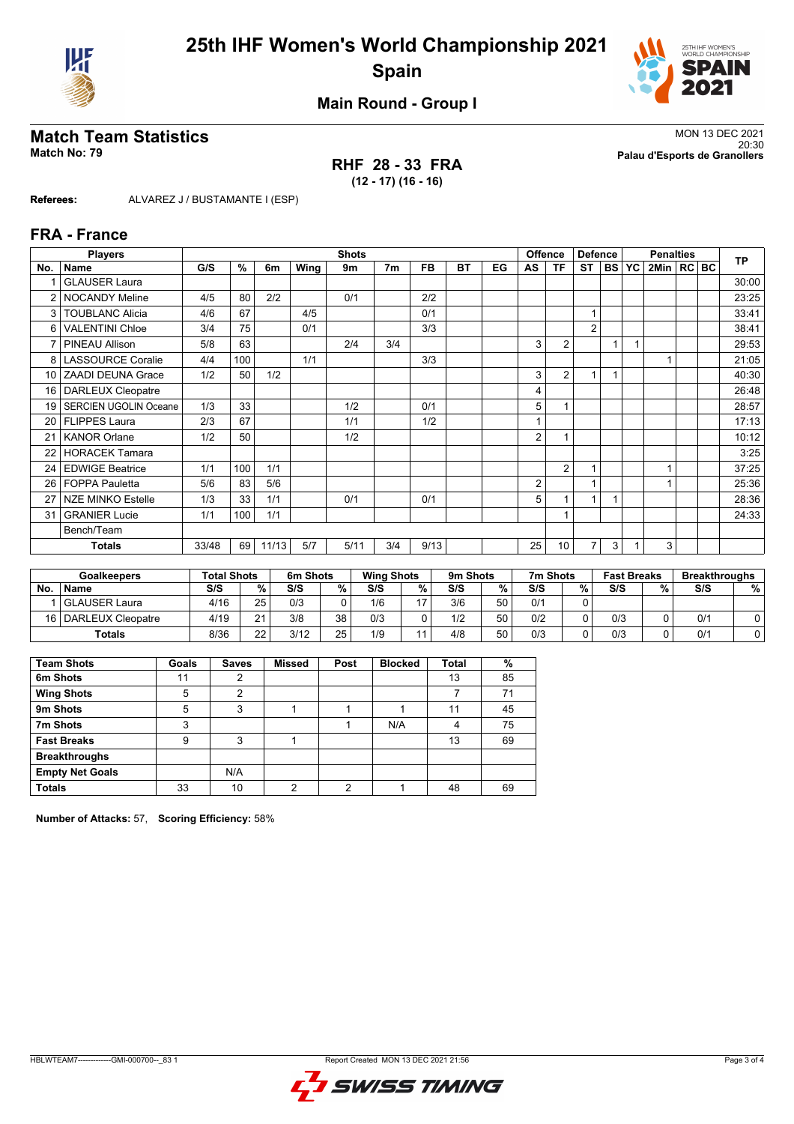



**Main Round - Group I**

### **RHF 28 - 33 FRA (12 - 17) (16 - 16)**

**Match Team Statistics** MON 13 DEC 2021 20:30 **Match No: 79 Palau d'Esports de Granollers**

**Referees:** ALVAREZ J / BUSTAMANTE I (ESP)

#### **FRA - France**

|                | <b>Players</b>               |       | <b>Shots</b> |       |      |      |                |           |           | <b>Offence</b><br><b>Defence</b> |    |                 |                | <b>Penalties</b> | <b>TP</b> |                |  |       |
|----------------|------------------------------|-------|--------------|-------|------|------|----------------|-----------|-----------|----------------------------------|----|-----------------|----------------|------------------|-----------|----------------|--|-------|
| No.            | <b>Name</b>                  | G/S   | %            | 6m    | Wing | 9m   | 7 <sub>m</sub> | <b>FB</b> | <b>BT</b> | EG                               | AS | ΤF              | <b>ST</b>      | <b>BS</b>        | YC        | 2Min   RC   BC |  |       |
|                | <b>GLAUSER Laura</b>         |       |              |       |      |      |                |           |           |                                  |    |                 |                |                  |           |                |  | 30:00 |
| $\overline{2}$ | <b>NOCANDY Meline</b>        | 4/5   | 80           | 2/2   |      | 0/1  |                | 2/2       |           |                                  |    |                 |                |                  |           |                |  | 23:25 |
| 3              | <b>TOUBLANC Alicia</b>       | 4/6   | 67           |       | 4/5  |      |                | 0/1       |           |                                  |    |                 | 1              |                  |           |                |  | 33:41 |
| 6              | <b>VALENTINI Chloe</b>       | 3/4   | 75           |       | 0/1  |      |                | 3/3       |           |                                  |    |                 | $\overline{2}$ |                  |           |                |  | 38:41 |
| $\overline{7}$ | PINEAU Allison               | 5/8   | 63           |       |      | 2/4  | 3/4            |           |           |                                  | 3  | $\overline{2}$  |                |                  |           |                |  | 29:53 |
| 8              | <b>LASSOURCE Coralie</b>     | 4/4   | 100          |       | 1/1  |      |                | 3/3       |           |                                  |    |                 |                |                  |           |                |  | 21:05 |
| 10             | <b>ZAADI DEUNA Grace</b>     | 1/2   | 50           | 1/2   |      |      |                |           |           |                                  | 3  | $\overline{2}$  | $\overline{1}$ |                  |           |                |  | 40:30 |
| 16             | <b>DARLEUX Cleopatre</b>     |       |              |       |      |      |                |           |           |                                  | 4  |                 |                |                  |           |                |  | 26:48 |
| 19             | <b>SERCIEN UGOLIN Oceane</b> | 1/3   | 33           |       |      | 1/2  |                | 0/1       |           |                                  | 5  |                 |                |                  |           |                |  | 28:57 |
| 20             | <b>FLIPPES Laura</b>         | 2/3   | 67           |       |      | 1/1  |                | 1/2       |           |                                  |    |                 |                |                  |           |                |  | 17:13 |
| 21             | <b>KANOR Orlane</b>          | 1/2   | 50           |       |      | 1/2  |                |           |           |                                  | 2  |                 |                |                  |           |                |  | 10:12 |
| 22             | <b>HORACEK Tamara</b>        |       |              |       |      |      |                |           |           |                                  |    |                 |                |                  |           |                |  | 3:25  |
| 24             | <b>EDWIGE Beatrice</b>       | 1/1   | 100          | 1/1   |      |      |                |           |           |                                  |    | $\overline{2}$  |                |                  |           |                |  | 37:25 |
| 26             | <b>FOPPA Pauletta</b>        | 5/6   | 83           | 5/6   |      |      |                |           |           |                                  | 2  |                 |                |                  |           |                |  | 25:36 |
| 27             | <b>NZE MINKO Estelle</b>     | 1/3   | 33           | 1/1   |      | 0/1  |                | 0/1       |           |                                  | 5  |                 | 4              |                  |           |                |  | 28:36 |
| 31             | <b>GRANIER Lucie</b>         | 1/1   | 100          | 1/1   |      |      |                |           |           |                                  |    |                 |                |                  |           |                |  | 24:33 |
|                | Bench/Team                   |       |              |       |      |      |                |           |           |                                  |    |                 |                |                  |           |                |  |       |
|                | Totals                       | 33/48 | 69           | 11/13 | 5/7  | 5/11 | 3/4            | 9/13      |           |                                  | 25 | 10 <sup>1</sup> | 7              | 3                |           | 3              |  |       |

| <b>Goalkeepers</b> |                        | <b>Total Shots</b> |                 | 6m Shots |    | <b>Wing Shots</b> |     | 9m Shots |    | 7m Shots |   | <b>Fast Breaks</b> |   | <b>Breakthroughs</b> |   |
|--------------------|------------------------|--------------------|-----------------|----------|----|-------------------|-----|----------|----|----------|---|--------------------|---|----------------------|---|
| No                 | <b>Name</b>            | S/S                | %.              | S/S      | %  | S/S               | %   | S/S      | %  | S/S      | % | S/S                | % | S/S                  | % |
|                    | <b>GLAUSER Laura</b>   | 4/16               | 25 <sub>1</sub> | 0/3      |    | 1/6               | כ ו | 3/6      | 50 | 0/1      |   |                    |   |                      |   |
|                    | 16   DARLEUX Cleopatre | 4/19               | $\mathbf{A}$    | 3/8      | 38 | 0/3               |     | 1/2      | 50 | 0/2      |   | 0/3                |   | 0/1                  |   |
|                    | <b>Totals</b>          | 8/36               | つつ              | 3/12     | 25 | 1/9               |     | 4/8      | 50 | 0/3      |   | 0/3                |   | 0/1                  |   |

| <b>Team Shots</b>      | Goals | <b>Saves</b> | <b>Missed</b> | Post | <b>Blocked</b> | Total | %  |
|------------------------|-------|--------------|---------------|------|----------------|-------|----|
| 6m Shots               | 11    | 2            |               |      |                | 13    | 85 |
| <b>Wing Shots</b>      | 5     | 2            |               |      |                |       | 71 |
| 9m Shots               | 5     | 3            |               |      |                | 11    | 45 |
| 7m Shots               | 3     |              |               |      | N/A            | 4     | 75 |
| <b>Fast Breaks</b>     | 9     | 3            |               |      |                | 13    | 69 |
| <b>Breakthroughs</b>   |       |              |               |      |                |       |    |
| <b>Empty Net Goals</b> |       | N/A          |               |      |                |       |    |
| <b>Totals</b>          | 33    | 10           | c             | ◠    |                | 48    | 69 |

**Number of Attacks:** 57, **Scoring Efficiency:** 58%